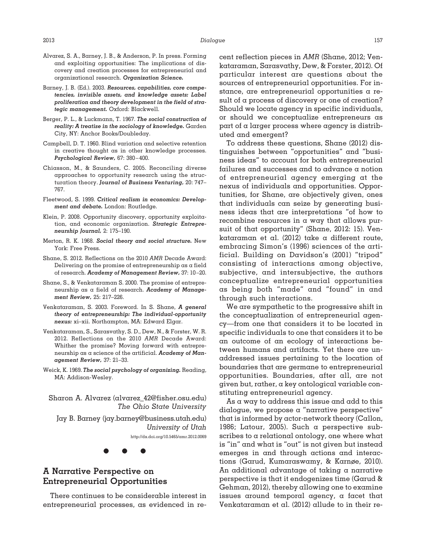- Alvarez, S. A., Barney, J. B., & Anderson, P. In press. Forming and exploiting opportunities: The implications of discovery and creation processes for entrepreneurial and organizational research. *Organization Science.*
- Barney, J. B. (Ed.). 2003. *Resources, capabilities, core competencies, invisible assets, and knowledge assets: Label proliferation and theory development in the field of strategic management.* Oxford: Blackwell.
- Berger, P. L., & Luckmann, T. 1967. *The social construction of reality: A treatise in the sociology of knowledge.* Garden City, NY: Anchor Books/Doubleday.
- Campbell, D. T. 1960. Blind variation and selective retention in creative thought as in other knowledge processes. *Psychological Review,* 67: 380 – 400.
- Chiasson, M., & Saunders, C. 2005. Reconciling diverse approaches to opportunity research using the structuration theory. *Journal of Business Venturing,* 20: 747– 767.
- Fleetwood, S. 1999. *Critical realism in economics: Development and debate.* London: Routledge.
- Klein, P. 2008. Opportunity discovery, opportunity exploitation, and economic organization. *Strategic Entrepreneurship Journal,* 2: 175–190.
- Merton, R. K. 1968. *Social theory and social structure.* New York: Free Press.
- Shane, S. 2012. Reflections on the 2010 *AMR* Decade Award: Delivering on the promise of entrepreneurship as a field of research. *Academy of Management Review,* 37: 10 –20.
- Shane, S., & Venkataraman S. 2000. The promise of entrepreneurship as a field of research. *Academy of Management Review,* 25: 217–226.
- Venkataraman, S. 2003. Foreword. In S. Shane, *A general theory of entrepreneurship: The individual-opportunity nexus:* xi–xii. Northampton, MA: Edward Elgar.
- Venkataraman, S., Sarasvathy, S. D., Dew, N., & Forster, W. R. 2012. Reflections on the 2010 *AMR* Decade Award: Whither the promise? Moving forward with entrepreneurship as a science of the artificial. *Academy of Management Review,* 37: 21–33.
- Weick, K. 1969. *The social psychology of organizing.* Reading, MA: Addison-Wesley.

Sharon A. Alvarez (alvarez\_42@fisher.osu.edu) *The Ohio State University*

Jay B. Barney (jay.barney@business.utah.edu) *University of Utah* http://dx.doi.org/10.5465/amr.2012.0069

●●●

# **A Narrative Perspective on Entrepreneurial Opportunities**

There continues to be considerable interest in entrepreneurial processes, as evidenced in re-

cent reflection pieces in *AMR* (Shane, 2012; Venkataraman, Sarasvathy, Dew, & Forster, 2012). Of particular interest are questions about the sources of entrepreneurial opportunities. For instance, are entrepreneurial opportunities a result of a process of discovery or one of creation? Should we locate agency in specific individuals, or should we conceptualize entrepreneurs as part of a larger process where agency is distributed and emergent?

To address these questions, Shane (2012) distinguishes between "opportunities" and "business ideas" to account for both entrepreneurial failures and successes and to advance a notion of entrepreneurial agency emerging at the nexus of individuals and opportunities. Opportunities, for Shane, are objectively given, ones that individuals can seize by generating business ideas that are interpretations "of how to recombine resources in a way that allows pursuit of that opportunity" (Shane, 2012: 15). Venkataraman et al. (2012) take a different route, embracing Simon's (1996) sciences of the artificial. Building on Davidson's (2001) "tripod" consisting of interactions among objective, subjective, and intersubjective, the authors conceptualize entrepreneurial opportunities as being both "made" and "found" in and through such interactions.

We are sympathetic to the progressive shift in the conceptualization of entrepreneurial agency—from one that considers it to be located in specific individuals to one that considers it to be an outcome of an ecology of interactions between humans and artifacts. Yet there are unaddressed issues pertaining to the location of boundaries that are germane to entrepreneurial opportunities. Boundaries, after all, are not given but, rather, a key ontological variable constituting entrepreneurial agency.

As a way to address this issue and add to this dialogue, we propose a "narrative perspective" that is informed by actor-network theory (Callon, 1986; Latour, 2005). Such a perspective subscribes to a relational ontology, one where what is "in" and what is "out" is not given but instead emerges in and through actions and interactions (Garud, Kumaraswamy, & Karnøe, 2010). An additional advantage of taking a narrative perspective is that it endogenizes time (Garud & Gehman, 2012), thereby allowing one to examine issues around temporal agency, a facet that Venkataraman et al. (2012) allude to in their re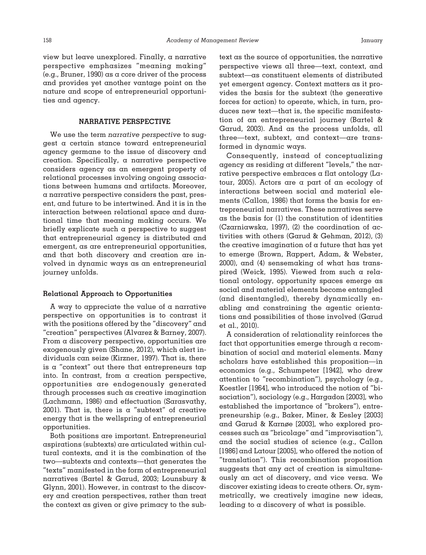view but leave unexplored. Finally, a narrative perspective emphasizes "meaning making" (e.g., Bruner, 1990) as a core driver of the process and provides yet another vantage point on the nature and scope of entrepreneurial opportunities and agency.

### **NARRATIVE PERSPECTIVE**

We use the term *narrative perspective* to suggest a certain stance toward entrepreneurial agency germane to the issue of discovery and creation. Specifically, a narrative perspective considers agency as an emergent property of relational processes involving ongoing associations between humans and artifacts. Moreover, a narrative perspective considers the past, present, and future to be intertwined. And it is in the interaction between relational space and durational time that meaning making occurs. We briefly explicate such a perspective to suggest that entrepreneurial agency is distributed and emergent, as are entrepreneurial opportunities, and that both discovery and creation are involved in dynamic ways as an entrepreneurial journey unfolds.

### **Relational Approach to Opportunities**

A way to appreciate the value of a narrative perspective on opportunities is to contrast it with the positions offered by the "discovery" and "creation" perspectives (Alvarez & Barney, 2007). From a discovery perspective, opportunities are exogenously given (Shane, 2012), which alert individuals can seize (Kirzner, 1997). That is, there is a "context" out there that entrepreneurs tap into. In contrast, from  $\alpha$  creation perspective, opportunities are endogenously generated through processes such as creative imagination (Lachmann, 1986) and effectuation (Sarasvathy, 2001). That is, there is a "subtext" of creative energy that is the wellspring of entrepreneurial opportunities.

Both positions are important. Entrepreneurial aspirations (subtexts) are articulated within cultural contexts, and it is the combination of the two—subtexts and contexts—that generates the "texts" manifested in the form of entrepreneurial narratives (Bartel & Garud, 2003; Lounsbury & Glynn, 2001). However, in contrast to the discovery and creation perspectives, rather than treat the context as given or give primacy to the sub-

text as the source of opportunities, the narrative perspective views all three—text, context, and subtext—as constituent elements of distributed yet emergent agency. Context matters as it provides the basis for the subtext (the generative forces for action) to operate, which, in turn, produces new text—that is, the specific manifestation of an entrepreneurial journey (Bartel & Garud, 2003). And as the process unfolds, all three—text, subtext, and context—are transformed in dynamic ways.

Consequently, instead of conceptualizing agency as residing at different "levels," the narrative perspective embraces a flat ontology (Latour, 2005). Actors are a part of an ecology of interactions between social and material elements (Callon, 1986) that forms the basis for entrepreneurial narratives. These narratives serve as the basis for (1) the constitution of identities (Czarniawska, 1997), (2) the coordination of activities with others (Garud & Gehman, 2012), (3) the creative imagination of a future that has yet to emerge (Brown, Rappert, Adam, & Webster, 2000), and (4) sensemaking of what has transpired (Weick, 1995). Viewed from such a relational ontology, opportunity spaces emerge as social and material elements become entangled (and disentangled), thereby dynamically enabling and constraining the agentic orientations and possibilities of those involved (Garud et al., 2010).

A consideration of relationality reinforces the fact that opportunities emerge through a recombination of social and material elements. Many scholars have established this proposition—in economics (e.g., Schumpeter [1942], who drew attention to "recombination"), psychology (e.g., Koestler [1964], who introduced the notion of "bisociation"), sociology (e.g., Hargadon [2003], who established the importance of "brokers"), entrepreneurship (e.g., Baker, Miner, & Eesley [2003] and Garud & Karnøe [2003], who explored processes such as "bricolage" and "improvisation"), and the social studies of science (e.g., Callon [1986] and Latour [2005], who offered the notion of "translation"). This recombination proposition suggests that any act of creation is simultaneously an act of discovery, and vice versa. We discover existing ideas to create others. Or, symmetrically, we creatively imagine new ideas, leading to a discovery of what is possible.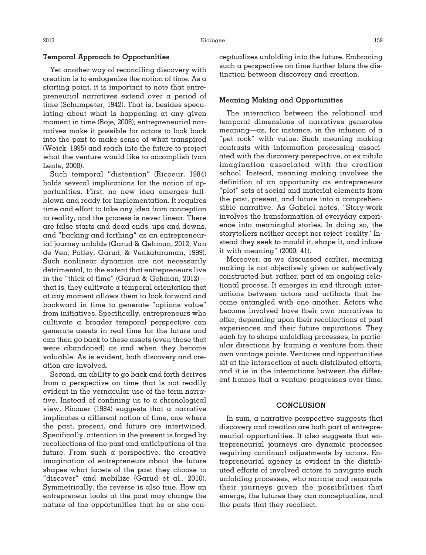### **Temporal Approach to Opportunities**

Yet another way of reconciling discovery with creation is to endogenize the notion of time. As  $\alpha$ starting point, it is important to note that entrepreneurial narratives extend *over* a period of time (Schumpeter, 1942). That is, besides speculating about what is happening at any given moment in time (Boje, 2008), entrepreneurial narratives make it possible for actors to look back into the past to make sense of what transpired (Weick, 1995) and reach into the future to project what the venture would like to accomplish (van Lente, 2000).

Such temporal "distention" (Ricoeur, 1984) holds several implications for the notion of opportunities. First, no new idea emerges fullblown and ready for implementation. It requires time and effort to take any idea from conception to reality, and the process is never linear. There are false starts and dead ends, ups and downs, and "backing and forthing" as an entrepreneurial journey unfolds (Garud & Gehman, 2012; Van de Ven, Polley, Garud, & Venkataraman, 1999). Such nonlinear dynamics are not necessarily detrimental, to the extent that entrepreneurs live in the "thick of time" (Garud & Gehman, 2012) that is, they cultivate a temporal orientation that at any moment allows them to look forward and backward in time to generate "options value" from initiatives. Specifically, entrepreneurs who cultivate a broader temporal perspective can generate assets in real time for the future and can then go back to these assets (even those that were abandoned) as and when they become valuable. As is evident, both discovery and creation are involved.

Second, an ability to go back and forth derives from a perspective on time that is not readily evident in the vernacular use of the term *narrative*. Instead of confining us to a chronological view, Ricouer (1984) suggests that a narrative implicates a different notion of time, one where the past, present, and future are intertwined. Specifically, attention in the present is forged by recollections of the past and anticipations of the future. From such  $\alpha$  perspective, the creative imagination of entrepreneurs about the future shapes what facets of the past they choose to "discover" and mobilize (Garud et al., 2010). Symmetrically, the reverse is also true. How an entrepreneur looks at the past may change the nature of the opportunities that he or she conceptualizes unfolding into the future. Embracing such a perspective on time further blurs the distinction between discovery and creation.

#### **Meaning Making and Opportunities**

The interaction between the relational and temporal dimensions of narratives generates meaning—as, for instance, in the infusion of  $\alpha$ "pet rock" with value. Such meaning making contrasts with information processing associated with the discovery perspective, or ex nihilo imagination associated with the creation school. Instead, meaning making involves the definition of an opportunity as entrepreneurs "plot" sets of social and material elements from the past, present, and future into a comprehensible narrative. As Gabriel notes, "Story-work involves the transformation of everyday experience into meaningful stories. In doing so, the storytellers neither accept nor reject 'reality.' Instead they seek to mould it, shape it, and infuse it with meaning" (2000: 41).

Moreover, as we discussed earlier, meaning making is not objectively given or subjectively constructed but, rather, part of an ongoing relational process. It emerges in and through interactions between actors and artifacts that become entangled with one another. Actors who become involved have their own narratives to offer, depending upon their recollections of past experiences and their future aspirations. They each try to shape unfolding processes, in particular directions by framing a venture from their own vantage points. Ventures and opportunities sit at the intersection of such distributed efforts, and it is in the interactions between the different frames that a venture progresses over time.

#### **CONCLUSION**

In sum, a narrative perspective suggests that discovery and creation are both part of entrepreneurial opportunities. It also suggests that entrepreneurial journeys are dynamic processes requiring continual adjustments by actors. Entrepreneurial agency is evident in the distributed efforts of involved actors to navigate such unfolding processes, who narrate and renarrate their journeys given the possibilities that emerge, the futures they can conceptualize, and the pasts that they recollect.